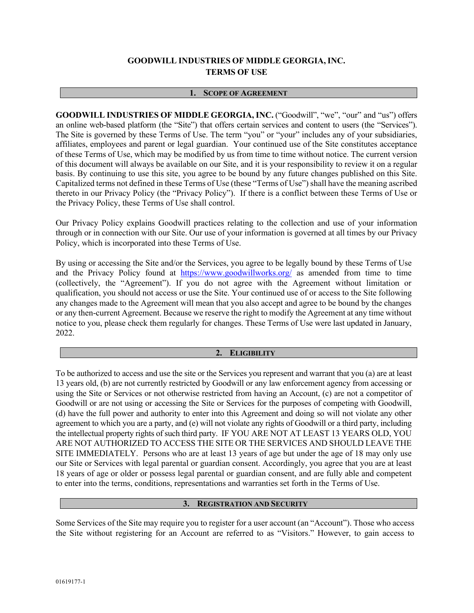# **GOODWILL INDUSTRIES OF MIDDLE GEORGIA, INC. TERMS OF USE**

### **1. SCOPE OF AGREEMENT**

**GOODWILL INDUSTRIES OF MIDDLE GEORGIA, INC.** ("Goodwill", "we", "our" and "us") offers an online web-based platform (the "Site") that offers certain services and content to users (the "Services"). The Site is governed by these Terms of Use. The term "you" or "your" includes any of your subsidiaries, affiliates, employees and parent or legal guardian. Your continued use of the Site constitutes acceptance of these Terms of Use, which may be modified by us from time to time without notice. The current version of this document will always be available on our Site, and it is your responsibility to review it on a regular basis. By continuing to use this site, you agree to be bound by any future changes published on this Site. Capitalized terms not defined in these Terms of Use (these "Terms of Use") shall have the meaning ascribed thereto in our Privacy Policy (the "Privacy Policy"). If there is a conflict between these Terms of Use or the Privacy Policy, these Terms of Use shall control.

Our Privacy Policy explains Goodwill practices relating to the collection and use of your information through or in connection with our Site. Our use of your information is governed at all times by our Privacy Policy, which is incorporated into these Terms of Use.

By using or accessing the Site and/or the Services, you agree to be legally bound by these Terms of Use and the Privacy Policy found at https://www.goodwillworks.org/ as amended from time to time (collectively, the "Agreement"). If you do not agree with the Agreement without limitation or qualification, you should not access or use the Site. Your continued use of or access to the Site following any changes made to the Agreement will mean that you also accept and agree to be bound by the changes or any then-current Agreement. Because we reserve the right to modify the Agreement at any time without notice to you, please check them regularly for changes. These Terms of Use were last updated in January, 2022.

#### **2. ELIGIBILITY**

To be authorized to access and use the site or the Services you represent and warrant that you (a) are at least 13 years old, (b) are not currently restricted by Goodwill or any law enforcement agency from accessing or using the Site or Services or not otherwise restricted from having an Account, (c) are not a competitor of Goodwill or are not using or accessing the Site or Services for the purposes of competing with Goodwill, (d) have the full power and authority to enter into this Agreement and doing so will not violate any other agreement to which you are a party, and (e) will not violate any rights of Goodwill or a third party, including the intellectual property rights of such third party. IF YOU ARE NOT AT LEAST 13 YEARS OLD, YOU ARE NOT AUTHORIZED TO ACCESS THE SITE OR THE SERVICES AND SHOULD LEAVE THE SITE IMMEDIATELY. Persons who are at least 13 years of age but under the age of 18 may only use our Site or Services with legal parental or guardian consent. Accordingly, you agree that you are at least 18 years of age or older or possess legal parental or guardian consent, and are fully able and competent to enter into the terms, conditions, representations and warranties set forth in the Terms of Use.

# **3. REGISTRATION AND SECURITY**

Some Services of the Site may require you to register for a user account (an "Account"). Those who access the Site without registering for an Account are referred to as "Visitors." However, to gain access to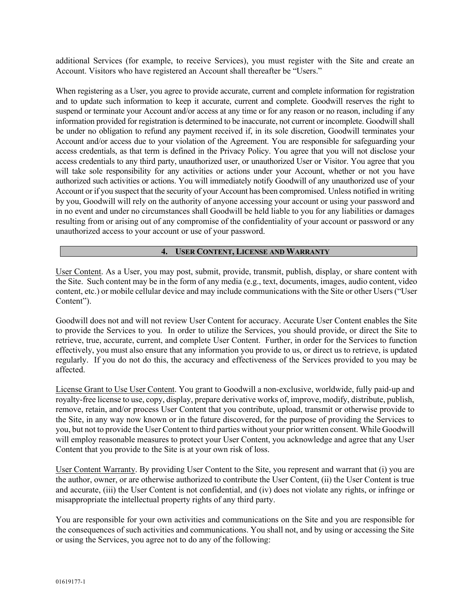additional Services (for example, to receive Services), you must register with the Site and create an Account. Visitors who have registered an Account shall thereafter be "Users."

When registering as a User, you agree to provide accurate, current and complete information for registration and to update such information to keep it accurate, current and complete. Goodwill reserves the right to suspend or terminate your Account and/or access at any time or for any reason or no reason, including if any information provided for registration is determined to be inaccurate, not current or incomplete. Goodwill shall be under no obligation to refund any payment received if, in its sole discretion, Goodwill terminates your Account and/or access due to your violation of the Agreement. You are responsible for safeguarding your access credentials, as that term is defined in the Privacy Policy. You agree that you will not disclose your access credentials to any third party, unauthorized user, or unauthorized User or Visitor. You agree that you will take sole responsibility for any activities or actions under your Account, whether or not you have authorized such activities or actions. You will immediately notify Goodwill of any unauthorized use of your Account or if you suspect that the security of your Account has been compromised. Unless notified in writing by you, Goodwill will rely on the authority of anyone accessing your account or using your password and in no event and under no circumstances shall Goodwill be held liable to you for any liabilities or damages resulting from or arising out of any compromise of the confidentiality of your account or password or any unauthorized access to your account or use of your password.

# **4. USER CONTENT, LICENSE AND WARRANTY**

User Content. As a User, you may post, submit, provide, transmit, publish, display, or share content with the Site. Such content may be in the form of any media (e.g., text, documents, images, audio content, video content, etc.) or mobile cellular device and may include communications with the Site or other Users ("User Content").

Goodwill does not and will not review User Content for accuracy. Accurate User Content enables the Site to provide the Services to you. In order to utilize the Services, you should provide, or direct the Site to retrieve, true, accurate, current, and complete User Content. Further, in order for the Services to function effectively, you must also ensure that any information you provide to us, or direct us to retrieve, is updated regularly. If you do not do this, the accuracy and effectiveness of the Services provided to you may be affected.

License Grant to Use User Content. You grant to Goodwill a non-exclusive, worldwide, fully paid-up and royalty-free license to use, copy, display, prepare derivative works of, improve, modify, distribute, publish, remove, retain, and/or process User Content that you contribute, upload, transmit or otherwise provide to the Site, in any way now known or in the future discovered, for the purpose of providing the Services to you, but not to provide the User Content to third parties without your prior written consent. While Goodwill will employ reasonable measures to protect your User Content, you acknowledge and agree that any User Content that you provide to the Site is at your own risk of loss.

User Content Warranty. By providing User Content to the Site, you represent and warrant that (i) you are the author, owner, or are otherwise authorized to contribute the User Content, (ii) the User Content is true and accurate, (iii) the User Content is not confidential, and (iv) does not violate any rights, or infringe or misappropriate the intellectual property rights of any third party.

You are responsible for your own activities and communications on the Site and you are responsible for the consequences of such activities and communications. You shall not, and by using or accessing the Site or using the Services, you agree not to do any of the following: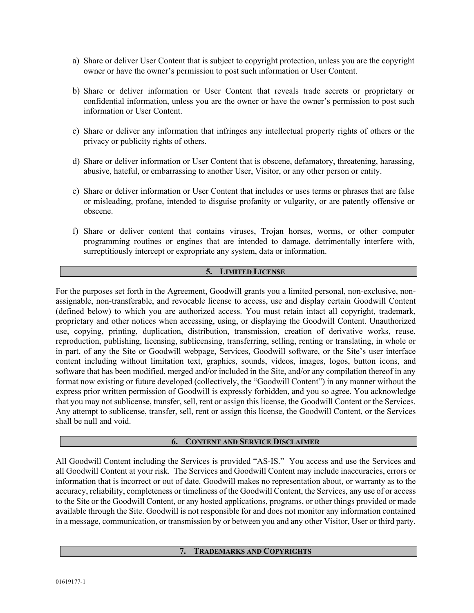- a) Share or deliver User Content that is subject to copyright protection, unless you are the copyright owner or have the owner's permission to post such information or User Content.
- b) Share or deliver information or User Content that reveals trade secrets or proprietary or confidential information, unless you are the owner or have the owner's permission to post such information or User Content.
- c) Share or deliver any information that infringes any intellectual property rights of others or the privacy or publicity rights of others.
- d) Share or deliver information or User Content that is obscene, defamatory, threatening, harassing, abusive, hateful, or embarrassing to another User, Visitor, or any other person or entity.
- e) Share or deliver information or User Content that includes or uses terms or phrases that are false or misleading, profane, intended to disguise profanity or vulgarity, or are patently offensive or obscene.
- f) Share or deliver content that contains viruses, Trojan horses, worms, or other computer programming routines or engines that are intended to damage, detrimentally interfere with, surreptitiously intercept or expropriate any system, data or information.

# **5. LIMITED LICENSE**

For the purposes set forth in the Agreement, Goodwill grants you a limited personal, non-exclusive, nonassignable, non-transferable, and revocable license to access, use and display certain Goodwill Content (defined below) to which you are authorized access. You must retain intact all copyright, trademark, proprietary and other notices when accessing, using, or displaying the Goodwill Content. Unauthorized use, copying, printing, duplication, distribution, transmission, creation of derivative works, reuse, reproduction, publishing, licensing, sublicensing, transferring, selling, renting or translating, in whole or in part, of any the Site or Goodwill webpage, Services, Goodwill software, or the Site's user interface content including without limitation text, graphics, sounds, videos, images, logos, button icons, and software that has been modified, merged and/or included in the Site, and/or any compilation thereof in any format now existing or future developed (collectively, the "Goodwill Content") in any manner without the express prior written permission of Goodwill is expressly forbidden, and you so agree. You acknowledge that you may not sublicense, transfer, sell, rent or assign this license, the Goodwill Content or the Services. Any attempt to sublicense, transfer, sell, rent or assign this license, the Goodwill Content, or the Services shall be null and void.

#### **6. CONTENT AND SERVICE DISCLAIMER**

All Goodwill Content including the Services is provided "AS-IS." You access and use the Services and all Goodwill Content at your risk. The Services and Goodwill Content may include inaccuracies, errors or information that is incorrect or out of date. Goodwill makes no representation about, or warranty as to the accuracy, reliability, completeness or timeliness of the Goodwill Content, the Services, any use of or access to the Site or the Goodwill Content, or any hosted applications, programs, or other things provided or made available through the Site. Goodwill is not responsible for and does not monitor any information contained in a message, communication, or transmission by or between you and any other Visitor, User or third party.

#### **7. TRADEMARKS AND COPYRIGHTS**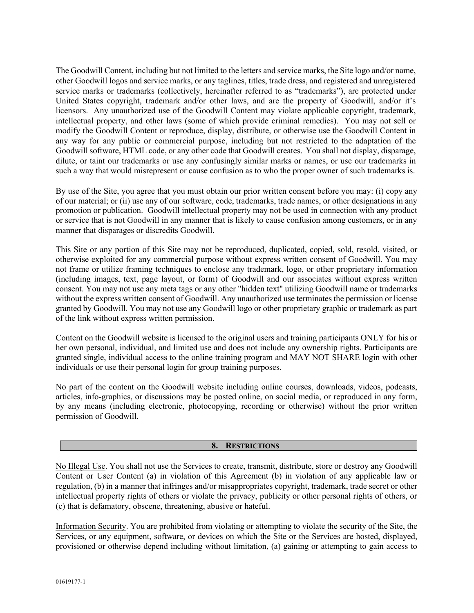The Goodwill Content, including but not limited to the letters and service marks, the Site logo and/or name, other Goodwill logos and service marks, or any taglines, titles, trade dress, and registered and unregistered service marks or trademarks (collectively, hereinafter referred to as "trademarks"), are protected under United States copyright, trademark and/or other laws, and are the property of Goodwill, and/or it's licensors. Any unauthorized use of the Goodwill Content may violate applicable copyright, trademark, intellectual property, and other laws (some of which provide criminal remedies). You may not sell or modify the Goodwill Content or reproduce, display, distribute, or otherwise use the Goodwill Content in any way for any public or commercial purpose, including but not restricted to the adaptation of the Goodwill software, HTML code, or any other code that Goodwill creates. You shall not display, disparage, dilute, or taint our trademarks or use any confusingly similar marks or names, or use our trademarks in such a way that would misrepresent or cause confusion as to who the proper owner of such trademarks is.

By use of the Site, you agree that you must obtain our prior written consent before you may: (i) copy any of our material; or (ii) use any of our software, code, trademarks, trade names, or other designations in any promotion or publication. Goodwill intellectual property may not be used in connection with any product or service that is not Goodwill in any manner that is likely to cause confusion among customers, or in any manner that disparages or discredits Goodwill.

This Site or any portion of this Site may not be reproduced, duplicated, copied, sold, resold, visited, or otherwise exploited for any commercial purpose without express written consent of Goodwill. You may not frame or utilize framing techniques to enclose any trademark, logo, or other proprietary information (including images, text, page layout, or form) of Goodwill and our associates without express written consent. You may not use any meta tags or any other "hidden text" utilizing Goodwill name or trademarks without the express written consent of Goodwill. Any unauthorized use terminates the permission or license granted by Goodwill. You may not use any Goodwill logo or other proprietary graphic or trademark as part of the link without express written permission.

Content on the Goodwill website is licensed to the original users and training participants ONLY for his or her own personal, individual, and limited use and does not include any ownership rights. Participants are granted single, individual access to the online training program and MAY NOT SHARE login with other individuals or use their personal login for group training purposes.

No part of the content on the Goodwill website including online courses, downloads, videos, podcasts, articles, info-graphics, or discussions may be posted online, on social media, or reproduced in any form, by any means (including electronic, photocopying, recording or otherwise) without the prior written permission of Goodwill.

#### **8. RESTRICTIONS**

No Illegal Use. You shall not use the Services to create, transmit, distribute, store or destroy any Goodwill Content or User Content (a) in violation of this Agreement (b) in violation of any applicable law or regulation, (b) in a manner that infringes and/or misappropriates copyright, trademark, trade secret or other intellectual property rights of others or violate the privacy, publicity or other personal rights of others, or (c) that is defamatory, obscene, threatening, abusive or hateful.

Information Security. You are prohibited from violating or attempting to violate the security of the Site, the Services, or any equipment, software, or devices on which the Site or the Services are hosted, displayed, provisioned or otherwise depend including without limitation, (a) gaining or attempting to gain access to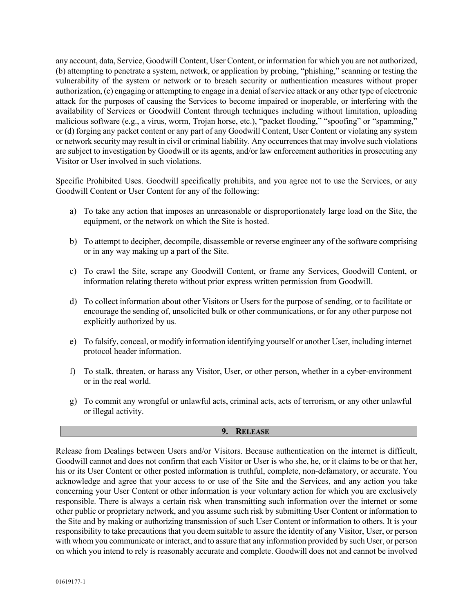any account, data, Service, Goodwill Content, User Content, or information for which you are not authorized, (b) attempting to penetrate a system, network, or application by probing, "phishing," scanning or testing the vulnerability of the system or network or to breach security or authentication measures without proper authorization, (c) engaging or attempting to engage in a denial of service attack or any other type of electronic attack for the purposes of causing the Services to become impaired or inoperable, or interfering with the availability of Services or Goodwill Content through techniques including without limitation, uploading malicious software (e.g., a virus, worm, Trojan horse, etc.), "packet flooding," "spoofing" or "spamming," or (d) forging any packet content or any part of any Goodwill Content, User Content or violating any system or network security may result in civil or criminal liability. Any occurrences that may involve such violations are subject to investigation by Goodwill or its agents, and/or law enforcement authorities in prosecuting any Visitor or User involved in such violations.

Specific Prohibited Uses. Goodwill specifically prohibits, and you agree not to use the Services, or any Goodwill Content or User Content for any of the following:

- a) To take any action that imposes an unreasonable or disproportionately large load on the Site, the equipment, or the network on which the Site is hosted.
- b) To attempt to decipher, decompile, disassemble or reverse engineer any of the software comprising or in any way making up a part of the Site.
- c) To crawl the Site, scrape any Goodwill Content, or frame any Services, Goodwill Content, or information relating thereto without prior express written permission from Goodwill.
- d) To collect information about other Visitors or Users for the purpose of sending, or to facilitate or encourage the sending of, unsolicited bulk or other communications, or for any other purpose not explicitly authorized by us.
- e) To falsify, conceal, or modify information identifying yourself or another User, including internet protocol header information.
- f) To stalk, threaten, or harass any Visitor, User, or other person, whether in a cyber-environment or in the real world.
- g) To commit any wrongful or unlawful acts, criminal acts, acts of terrorism, or any other unlawful or illegal activity.

# **9. RELEASE**

Release from Dealings between Users and/or Visitors. Because authentication on the internet is difficult, Goodwill cannot and does not confirm that each Visitor or User is who she, he, or it claims to be or that her, his or its User Content or other posted information is truthful, complete, non-defamatory, or accurate. You acknowledge and agree that your access to or use of the Site and the Services, and any action you take concerning your User Content or other information is your voluntary action for which you are exclusively responsible. There is always a certain risk when transmitting such information over the internet or some other public or proprietary network, and you assume such risk by submitting User Content or information to the Site and by making or authorizing transmission of such User Content or information to others. It is your responsibility to take precautions that you deem suitable to assure the identity of any Visitor, User, or person with whom you communicate or interact, and to assure that any information provided by such User, or person on which you intend to rely is reasonably accurate and complete. Goodwill does not and cannot be involved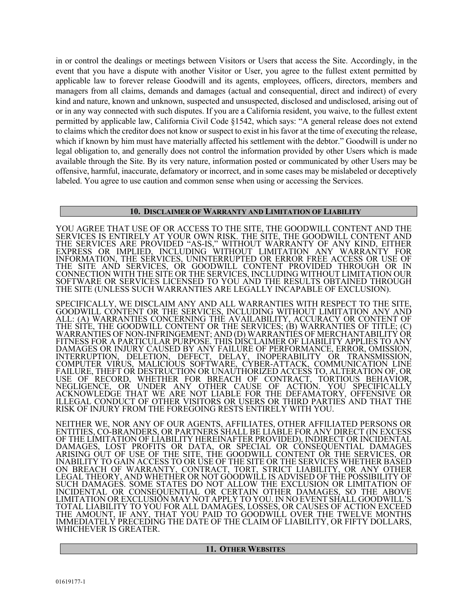in or control the dealings or meetings between Visitors or Users that access the Site. Accordingly, in the event that you have a dispute with another Visitor or User, you agree to the fullest extent permitted by applicable law to forever release Goodwill and its agents, employees, officers, directors, members and managers from all claims, demands and damages (actual and consequential, direct and indirect) of every kind and nature, known and unknown, suspected and unsuspected, disclosed and undisclosed, arising out of or in any way connected with such disputes. If you are a California resident, you waive, to the fullest extent permitted by applicable law, California Civil Code §1542, which says: "A general release does not extend to claims which the creditor does not know or suspect to exist in his favor at the time of executing the release, which if known by him must have materially affected his settlement with the debtor." Goodwill is under no legal obligation to, and generally does not control the information provided by other Users which is made available through the Site. By its very nature, information posted or communicated by other Users may be offensive, harmful, inaccurate, defamatory or incorrect, and in some cases may be mislabeled or deceptively labeled. You agree to use caution and common sense when using or accessing the Services.

#### **10. DISCLAIMER OF WARRANTY AND LIMITATION OF LIABILITY**

YOU AGREE THAT USE OF OR ACCESS TO THE SITE, THE GOODWILL CONTENT AND THE SERVICES IS ENTIRELY AT YOUR OWN RISK. THE SITE, THE GOODWILL CONTENT AND THE SERVICES ARE PROVIDED "AS-IS," WITHOUT WARRANTY OF ANY KIND, EITHER EXPRESS OR IMPLIED, INCLUDING WITHOUT LIMITATION ANY WARRANTY FOR INFORMATION, THE SERVICES, UNINTERRUPTED OR ERROR FREE ACCESS OR USE OF THE SITE AND SERVICES, OR GOODWILL CONTENT PROVIDED THROUGH OR IN CONNECTION WITH THE SITE OR THE SERVICES, INCLUDING WITHOUT LIMITATION OUR SOFTWARE OR SERVICES LICENSED TO YOU AND THE RESULTS OBTAINED THROUGH THE SITE (UNLESS SUCH WARRANTIES ARE LEGALLY INCAPABLE OF EXCLUSION).

SPECIFICALLY, WE DISCLAIM ANY AND ALL WARRANTIES WITH RESPECT TO THE SITE, GOODWILL CONTENT OR THE SERVICES, INCLUDING WITHOUT LIMITATION ANY AND ALL: (A) WARRANTIES CONCERNING THE AVAILABILITY, ACCURACY OR CONTENT OF THE SITE, THE GOODWILL CONTENT OR THE SERVICES; (B) WARRANTIES OF TITLE; (C)<br>WARRANTIES OF NON-INFRINGEMENT; AND (D) WARRANTIES OF MERCHANTABILITY OR FITNESS FOR A PARTICULAR PURPOSE. THIS DISCLAIMER OF LIABILITY APPLIES TO ANY DAMAGES OR INJURY CAUSED BY ANY FAILURE OF PERFORMANCE, ERROR, OMISSION, INTERRUPTION, DELETION, DEFECT, DELAY, INOPERABILITY OR TRANSMISSION, COMPUTER VIRUS, MALICIOUS SOFTWARE, CYBER-ATTACK, COMMUNICATION LINE FAILURE, THEFT OR DESTRUCTION OR UNAUTHORIZED ACCESS TO, ALTERATION OF, OR USE OF RECORD, WHETHER FOR BREACH OF CONTRACT, TORTIOUS BEHAVIOR, NEGLIGENCE, OR UNDER ANY OTHER CAUSE OF ACTION. YOU SPECIFICALLY ACKNOWLEDGE THAT WE ARE NOT LIABLE FOR THE DEFAMATORY, OFFENSIVE OR ILLEGAL CONDUCT OF OTHER VISITORS OR USERS OR THIRD PARTIES AND THAT THE RISK OF INJURY FROM THE FOREGOING RESTS ENTIRELY WITH YOU.

NEITHER WE, NOR ANY OF OUR AGENTS, AFFILIATES, OTHER AFFILIATED PERSONS OR<br>ENTITIES. CO-BRANDERS, OR PARTNERS SHALL BE LIABLE FOR ANY DIRECT (IN EXCESS OF THE LIMITATION OF LIABILITY HEREINAFTER PROVIDED), INDIRECT OR INCIDENTAL DAMAGES, LOST PROFITS OR DATA, OR SPECIAL OR CÓNSEQUENTIAL DAMAGES ARISING OUT OF USE OF THE SITE, THE GOODWILL CONTENT OR THE SERVICES, OR INABILITY TO GAIN ACCESS TO OR USE OF THE SITE OR THE SERVICES WHETHER BASED ON BREACH OF WARRANTY, CONTRACT, TORT, STRICT LIABILITY, OR ANY OTHER LEGAL THEORY, AND WHETHER OR NOT GOODWILL IS ADVISED OF THE POSSIBILITY OF SUCH DAMAGES. SOME STATES DO NOT ALLOW THE EXCLUSION OR LIMITATION OF INCIDENTAL OR CONSEQUENTIAL OR CERTAIN OTHER DAMAGES, SO THE ABOVE LIMITATION OR EXCLUSION MAY NOT APPLY TO YOU. IN NO EVENT SHALL GOODWILL'S TOTAL LIABILITY TO YOU FOR ALL DAMAGES, LOSSES, OR CAUSES OF ACTION EXCEED THE AMOUNT, IF ANY, THAT YOU PAID TO GOODWILL OVER THE TWELVE MONTHS IMMEDIATELY PRECEDING THE DATE OF THE CLAIM OF LIABILITY, OR FIFTY DOLLARS, WHICHEVER IS GREATER.

| <b>OTHER WEBSITES</b><br>$\blacksquare$ 11. |
|---------------------------------------------|
|                                             |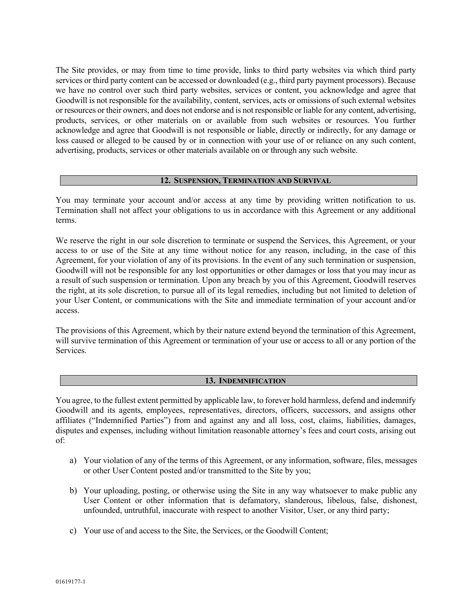The Site provides, or may from time to time provide, links to third party websites via which third party services or third party content can be accessed or downloaded (e.g., third party payment processors). Because we have no control over such third party websites, services or content, you acknowledge and agree that Goodwill is not responsible for the availability, content, services, acts or omissions of such external websites or resources or their owners, and does not endorse and is not responsible or liable for any content, advertising, products, services, or other materials on or available from such websites or resources. You further acknowledge and agree that Goodwill is not responsible or liable, directly or indirectly, for any damage or loss caused or alleged to be caused by or in connection with your use of or reliance on any such content, advertising, products, services or other materials available on or through any such website.

# **12. SUSPENSION, TERMINATION AND SURVIVAL**

You may terminate your account and/or access at any time by providing written notification to us. Termination shall not affect your obligations to us in accordance with this Agreement or any additional terms.

We reserve the right in our sole discretion to terminate or suspend the Services, this Agreement, or your access to or use of the Site at any time without notice for any reason, including, in the case of this Agreement, for your violation of any of its provisions. In the event of any such termination or suspension, Goodwill will not be responsible for any lost opportunities or other damages or loss that you may incur as a result of such suspension or termination. Upon any breach by you of this Agreement, Goodwill reserves the right, at its sole discretion, to pursue all of its legal remedies, including but not limited to deletion of your User Content, or communications with the Site and immediate termination of your account and/or access.

The provisions of this Agreement, which by their nature extend beyond the termination of this Agreement, will survive termination of this Agreement or termination of your use or access to all or any portion of the Services.

### **13. INDEMNIFICATION**

You agree, to the fullest extent permitted by applicable law, to forever hold harmless, defend and indemnify Goodwill and its agents, employees, representatives, directors, officers, successors, and assigns other affiliates ("Indemnified Parties") from and against any and all loss, cost, claims, liabilities, damages, disputes and expenses, including without limitation reasonable attorney's fees and court costs, arising out of:

- a) Your violation of any of the terms of this Agreement, or any information, software, files, messages or other User Content posted and/or transmitted to the Site by you;
- b) Your uploading, posting, or otherwise using the Site in any way whatsoever to make public any User Content or other information that is defamatory, slanderous, libelous, false, dishonest, unfounded, untruthful, inaccurate with respect to another Visitor, User, or any third party;
- c) Your use of and access to the Site, the Services, or the Goodwill Content;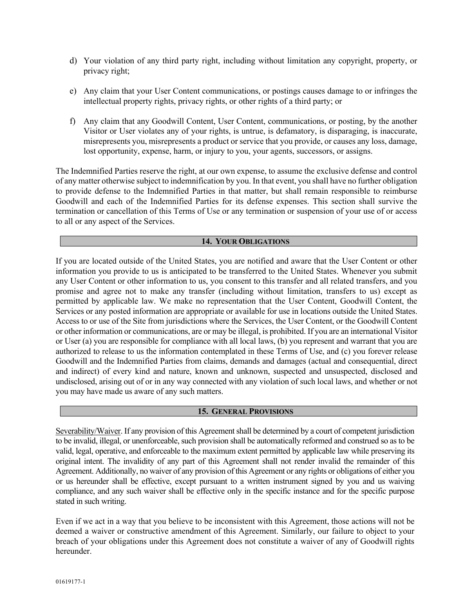- d) Your violation of any third party right, including without limitation any copyright, property, or privacy right;
- e) Any claim that your User Content communications, or postings causes damage to or infringes the intellectual property rights, privacy rights, or other rights of a third party; or
- f) Any claim that any Goodwill Content, User Content, communications, or posting, by the another Visitor or User violates any of your rights, is untrue, is defamatory, is disparaging, is inaccurate, misrepresents you, misrepresents a product or service that you provide, or causes any loss, damage, lost opportunity, expense, harm, or injury to you, your agents, successors, or assigns.

The Indemnified Parties reserve the right, at our own expense, to assume the exclusive defense and control of any matter otherwise subject to indemnification by you. In that event, you shall have no further obligation to provide defense to the Indemnified Parties in that matter, but shall remain responsible to reimburse Goodwill and each of the Indemnified Parties for its defense expenses. This section shall survive the termination or cancellation of this Terms of Use or any termination or suspension of your use of or access to all or any aspect of the Services.

# **14. YOUR OBLIGATIONS**

If you are located outside of the United States, you are notified and aware that the User Content or other information you provide to us is anticipated to be transferred to the United States. Whenever you submit any User Content or other information to us, you consent to this transfer and all related transfers, and you promise and agree not to make any transfer (including without limitation, transfers to us) except as permitted by applicable law. We make no representation that the User Content, Goodwill Content, the Services or any posted information are appropriate or available for use in locations outside the United States. Access to or use of the Site from jurisdictions where the Services, the User Content, or the Goodwill Content or other information or communications, are or may be illegal, is prohibited. If you are an international Visitor or User (a) you are responsible for compliance with all local laws, (b) you represent and warrant that you are authorized to release to us the information contemplated in these Terms of Use, and (c) you forever release Goodwill and the Indemnified Parties from claims, demands and damages (actual and consequential, direct and indirect) of every kind and nature, known and unknown, suspected and unsuspected, disclosed and undisclosed, arising out of or in any way connected with any violation of such local laws, and whether or not you may have made us aware of any such matters.

#### **15. GENERAL PROVISIONS**

Severability/Waiver. If any provision of this Agreement shall be determined by a court of competent jurisdiction to be invalid, illegal, or unenforceable, such provision shall be automatically reformed and construed so as to be valid, legal, operative, and enforceable to the maximum extent permitted by applicable law while preserving its original intent. The invalidity of any part of this Agreement shall not render invalid the remainder of this Agreement. Additionally, no waiver of any provision of this Agreement or any rights or obligations of either you or us hereunder shall be effective, except pursuant to a written instrument signed by you and us waiving compliance, and any such waiver shall be effective only in the specific instance and for the specific purpose stated in such writing.

Even if we act in a way that you believe to be inconsistent with this Agreement, those actions will not be deemed a waiver or constructive amendment of this Agreement. Similarly, our failure to object to your breach of your obligations under this Agreement does not constitute a waiver of any of Goodwill rights hereunder.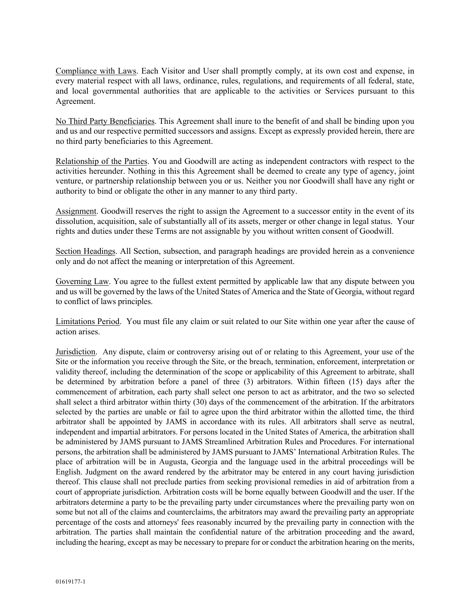Compliance with Laws. Each Visitor and User shall promptly comply, at its own cost and expense, in every material respect with all laws, ordinance, rules, regulations, and requirements of all federal, state, and local governmental authorities that are applicable to the activities or Services pursuant to this Agreement.

No Third Party Beneficiaries. This Agreement shall inure to the benefit of and shall be binding upon you and us and our respective permitted successors and assigns. Except as expressly provided herein, there are no third party beneficiaries to this Agreement.

Relationship of the Parties. You and Goodwill are acting as independent contractors with respect to the activities hereunder. Nothing in this this Agreement shall be deemed to create any type of agency, joint venture, or partnership relationship between you or us. Neither you nor Goodwill shall have any right or authority to bind or obligate the other in any manner to any third party.

Assignment. Goodwill reserves the right to assign the Agreement to a successor entity in the event of its dissolution, acquisition, sale of substantially all of its assets, merger or other change in legal status.Your rights and duties under these Terms are not assignable by you without written consent of Goodwill.

Section Headings. All Section, subsection, and paragraph headings are provided herein as a convenience only and do not affect the meaning or interpretation of this Agreement.

Governing Law. You agree to the fullest extent permitted by applicable law that any dispute between you and us will be governed by the laws of the United States of America and the State of Georgia, without regard to conflict of laws principles.

Limitations Period.You must file any claim or suit related to our Site within one year after the cause of action arises.

Jurisdiction. Any dispute, claim or controversy arising out of or relating to this Agreement, your use of the Site or the information you receive through the Site, or the breach, termination, enforcement, interpretation or validity thereof, including the determination of the scope or applicability of this Agreement to arbitrate, shall be determined by arbitration before a panel of three (3) arbitrators. Within fifteen (15) days after the commencement of arbitration, each party shall select one person to act as arbitrator, and the two so selected shall select a third arbitrator within thirty (30) days of the commencement of the arbitration. If the arbitrators selected by the parties are unable or fail to agree upon the third arbitrator within the allotted time, the third arbitrator shall be appointed by JAMS in accordance with its rules. All arbitrators shall serve as neutral, independent and impartial arbitrators. For persons located in the United States of America, the arbitration shall be administered by JAMS pursuant to JAMS Streamlined Arbitration Rules and Procedures. For international persons, the arbitration shall be administered by JAMS pursuant to JAMS' International Arbitration Rules. The place of arbitration will be in Augusta, Georgia and the language used in the arbitral proceedings will be English. Judgment on the award rendered by the arbitrator may be entered in any court having jurisdiction thereof. This clause shall not preclude parties from seeking provisional remedies in aid of arbitration from a court of appropriate jurisdiction. Arbitration costs will be borne equally between Goodwill and the user. If the arbitrators determine a party to be the prevailing party under circumstances where the prevailing party won on some but not all of the claims and counterclaims, the arbitrators may award the prevailing party an appropriate percentage of the costs and attorneys' fees reasonably incurred by the prevailing party in connection with the arbitration. The parties shall maintain the confidential nature of the arbitration proceeding and the award, including the hearing, except as may be necessary to prepare for or conduct the arbitration hearing on the merits,